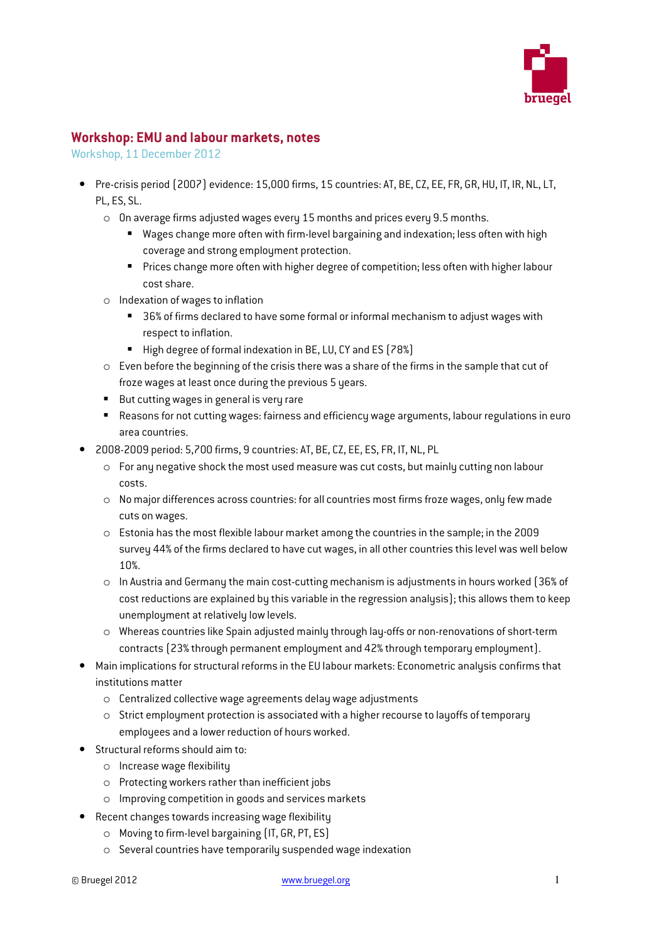

## Workshop: EMU and labour markets, notes

Workshop, 11 December 2012

- Pre-crisis period (2007) evidence: 15,000 firms, 15 countries: AT, BE, CZ, EE, FR, GR, HU, IT, IR, NL, LT, PL, ES, SL.
	- o On average firms adjusted wages every 15 months and prices every 9.5 months.
		- Wages change more often with firm-level bargaining and indexation; less often with high coverage and strong employment protection.
		- **Prices change more often with higher degree of competition; less often with higher labour** cost share.
	- o Indexation of wages to inflation
		- 36% of firms declared to have some formal or informal mechanism to adjust wages with respect to inflation.
		- High degree of formal indexation in BE, LU, CY and ES (78%)
	- o Even before the beginning of the crisis there was a share of the firms in the sample that cut of froze wages at least once during the previous 5 years.
	- But cutting wages in general is very rare
	- Reasons for not cutting wages: fairness and efficiency wage arguments, labour regulations in euro area countries.
- 2008-2009 period: 5,700 firms, 9 countries: AT, BE, CZ, EE, ES, FR, IT, NL, PL
	- o For any negative shock the most used measure was cut costs, but mainly cutting non labour costs.
	- $\circ$  No maior differences across countries: for all countries most firms froze wages, only few made cuts on wages.
	- o Estonia has the most flexible labour market among the countries in the sample; in the 2009 survey 44% of the firms declared to have cut wages, in all other countries this level was well below 10%.
	- o In Austria and Germany the main cost-cutting mechanism is adjustments in hours worked (36% of cost reductions are explained by this variable in the regression analysis); this allows them to keep unemployment at relatively low levels.
	- o Whereas countries like Spain adjusted mainly through lay-offs or non-renovations of short-term contracts (23% through permanent employment and 42% through temporary employment).
- Main implications for structural reforms in the EU labour markets: Econometric analysis confirms that institutions matter
	- o Centralized collective wage agreements delay wage adjustments
	- $\circ$  Strict employment protection is associated with a higher recourse to layoffs of temporary employees and a lower reduction of hours worked.
- Structural reforms should aim to:
	- o Increase wage flexibility
	- o Protecting workers rather than inefficient jobs
	- o Improving competition in goods and services markets
- Recent changes towards increasing wage flexibility
	- o Moving to firm-level bargaining (IT, GR, PT, ES)
	- o Several countries have temporarily suspended wage indexation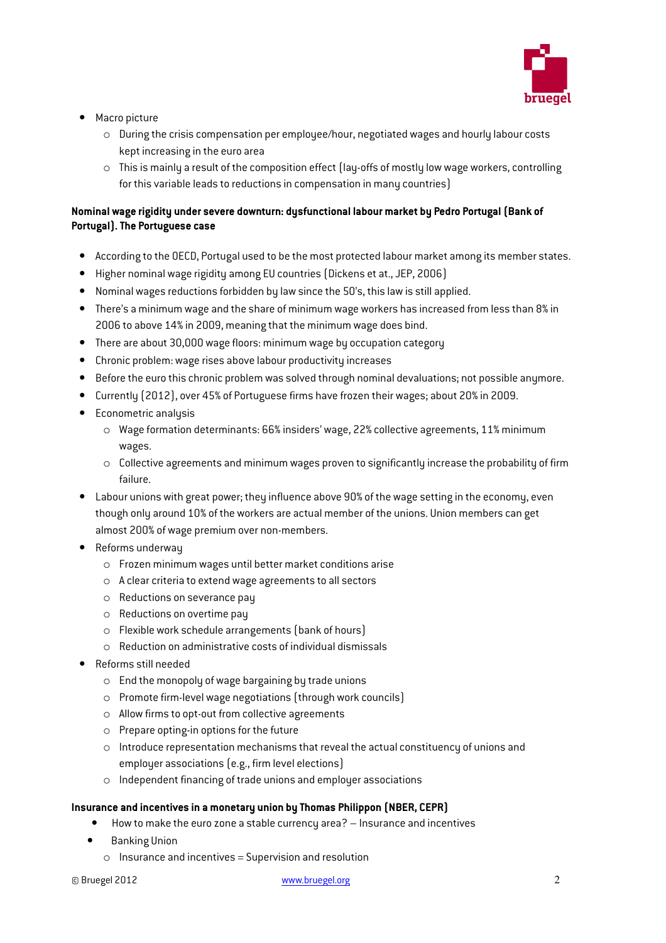

- Macro picture
	- o During the crisis compensation per employee/hour, negotiated wages and hourly labour costs kept increasing in the euro area
	- $\circ$  This is mainly a result of the composition effect (lay-offs of mostly low wage workers, controlling for this variable leads to reductions in compensation in many countries)

## Nominal wage rigidity under severe downturn: dysfunctional labour market by Pedro Portugal (Bank of Portugal). The Portuguese case

- According to the OECD, Portugal used to be the most protected labour market among its member states.
- Higher nominal wage rigidity among EU countries (Dickens et at., JEP, 2006)
- Nominal wages reductions forbidden by law since the 50's, this law is still applied.
- There's a minimum wage and the share of minimum wage workers has increased from less than 8% in 2006 to above 14% in 2009, meaning that the minimum wage does bind.
- There are about 30,000 wage floors: minimum wage by occupation category
- Chronic problem: wage rises above labour productivity increases
- Before the euro this chronic problem was solved through nominal devaluations; not possible anymore.
- Currently (2012), over 45% of Portuguese firms have frozen their wages; about 20% in 2009.
- Econometric analysis
	- o Wage formation determinants: 66% insiders' wage, 22% collective agreements, 11% minimum wages.
	- o Collective agreements and minimum wages proven to significantly increase the probability of firm failure.
- Labour unions with great power; they influence above 90% of the wage setting in the economy, even though only around 10% of the workers are actual member of the unions. Union members can get almost 200% of wage premium over non-members.
- Reforms underway
	- o Frozen minimum wages until better market conditions arise
	- o A clear criteria to extend wage agreements to all sectors
	- o Reductions on severance pay
	- o Reductions on overtime pay
	- o Flexible work schedule arrangements (bank of hours)
	- o Reduction on administrative costs of individual dismissals
- Reforms still needed
	- $\circ$  End the monopoly of wage bargaining by trade unions
	- o Promote firm-level wage negotiations (through work councils)
	- o Allow firms to opt-out from collective agreements
	- $\circ$  Prepare opting-in options for the future
	- $\circ$  Introduce representation mechanisms that reveal the actual constituency of unions and employer associations (e.g., firm level elections)
	- o Independent financing of trade unions and employer associations

## Insurance and incentives in a monetary union by Thomas Philippon (NBER, CEPR)

- How to make the euro zone a stable currency area? Insurance and incentives
- Banking Union
	- o Insurance and incentives = Supervision and resolution